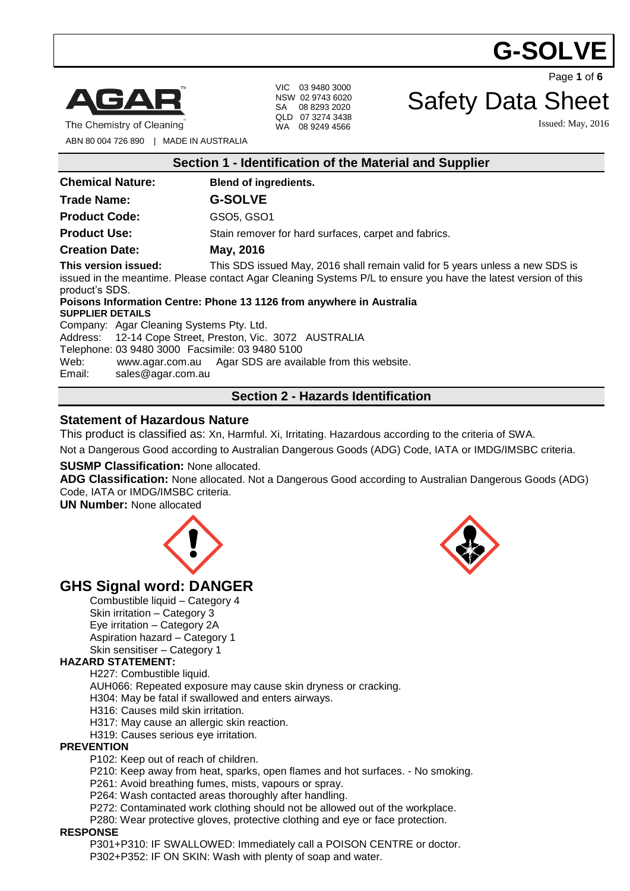# G-SOLV



The Chemistry of Cleaning

VIC 03 9480 3000 NSW 02 9743 6020 SA 08 8293 2020 QLD 07 3274 3438 WA 08 9249 4566

Page **1** of **6**

# Safety Data Sheet

Issued: May, 2016

ABN 80 004 726 890 | MADE IN AUSTRALIA

| Section 1 - Identification of the Material and Supplier                                                                                                                                                                                                     |                                                      |  |
|-------------------------------------------------------------------------------------------------------------------------------------------------------------------------------------------------------------------------------------------------------------|------------------------------------------------------|--|
| <b>Chemical Nature:</b>                                                                                                                                                                                                                                     | <b>Blend of ingredients.</b>                         |  |
| <b>Trade Name:</b>                                                                                                                                                                                                                                          | <b>G-SOLVE</b>                                       |  |
| <b>Product Code:</b>                                                                                                                                                                                                                                        | GSO5, GSO1                                           |  |
| <b>Product Use:</b>                                                                                                                                                                                                                                         | Stain remover for hard surfaces, carpet and fabrics. |  |
| <b>Creation Date:</b>                                                                                                                                                                                                                                       | May, 2016                                            |  |
| This version issued:<br>This SDS issued May, 2016 shall remain valid for 5 years unless a new SDS is<br>issued in the meantime. Please contact Agar Cleaning Systems P/L to ensure you have the latest version of this<br>product's SDS.                    |                                                      |  |
| Poisons Information Centre: Phone 13 1126 from anywhere in Australia<br><b>SUPPLIER DETAILS</b>                                                                                                                                                             |                                                      |  |
| Company: Agar Cleaning Systems Pty. Ltd.<br>Address: 12-14 Cope Street, Preston, Vic. 3072 AUSTRALIA<br>Telephone: 03 9480 3000 Facsimile: 03 9480 5100<br>www.agar.com.au Agar SDS are available from this website.<br>Web:<br>Email:<br>sales@agar.com.au |                                                      |  |
| <b>Section 2 - Hazards Identification</b>                                                                                                                                                                                                                   |                                                      |  |

### **Statement of Hazardous Nature**

This product is classified as: Xn, Harmful. Xi, Irritating. Hazardous according to the criteria of SWA.

Not a Dangerous Good according to Australian Dangerous Goods (ADG) Code, IATA or IMDG/IMSBC criteria.

#### **SUSMP Classification:** None allocated.

**ADG Classification:** None allocated. Not a Dangerous Good according to Australian Dangerous Goods (ADG) Code, IATA or IMDG/IMSBC criteria.

**UN Number:** None allocated





# **GHS Signal word: DANGER**

Combustible liquid – Category 4 Skin irritation – Category 3 Eye irritation – Category 2A Aspiration hazard – Category 1 Skin sensitiser – Category 1

#### **HAZARD STATEMENT:**

H227: Combustible liquid.

AUH066: Repeated exposure may cause skin dryness or cracking.

H304: May be fatal if swallowed and enters airways.

H316: Causes mild skin irritation.

H317: May cause an allergic skin reaction.

H319: Causes serious eye irritation.

#### **PREVENTION**

P102: Keep out of reach of children.

P210: Keep away from heat, sparks, open flames and hot surfaces. - No smoking.

P261: Avoid breathing fumes, mists, vapours or spray.

P264: Wash contacted areas thoroughly after handling.

P272: Contaminated work clothing should not be allowed out of the workplace.

P280: Wear protective gloves, protective clothing and eye or face protection.

#### **RESPONSE**

P301+P310: IF SWALLOWED: Immediately call a POISON CENTRE or doctor. P302+P352: IF ON SKIN: Wash with plenty of soap and water.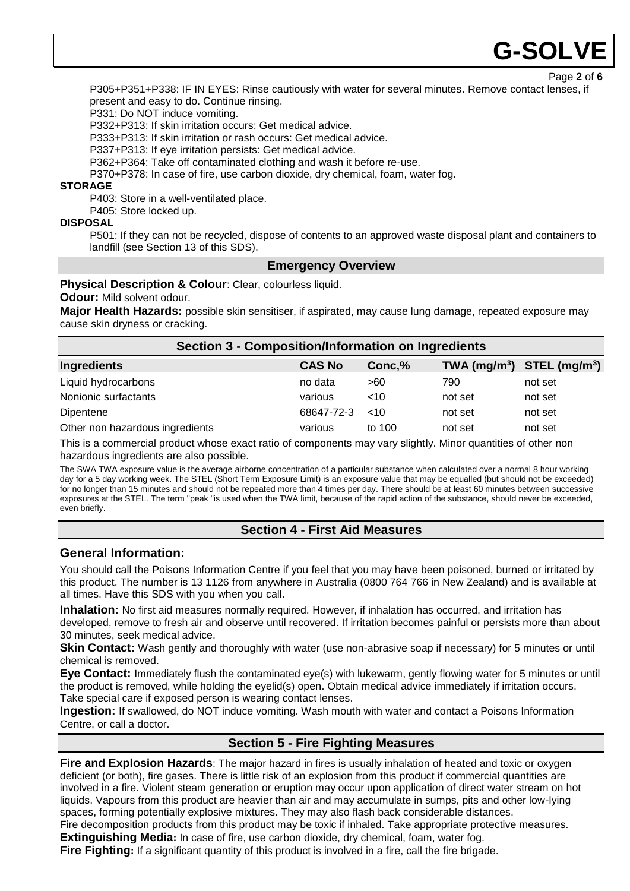# G-SOL**\**

Page **2** of **6**

P305+P351+P338: IF IN EYES: Rinse cautiously with water for several minutes. Remove contact lenses, if present and easy to do. Continue rinsing.

P331: Do NOT induce vomiting.

P332+P313: If skin irritation occurs: Get medical advice.

P333+P313: If skin irritation or rash occurs: Get medical advice.

P337+P313: If eye irritation persists: Get medical advice.

P362+P364: Take off contaminated clothing and wash it before re-use.

P370+P378: In case of fire, use carbon dioxide, dry chemical, foam, water fog.

#### **STORAGE**

P403: Store in a well-ventilated place.

P405: Store locked up.

#### **DISPOSAL**

P501: If they can not be recycled, dispose of contents to an approved waste disposal plant and containers to landfill (see Section 13 of this SDS).

### **Emergency Overview**

#### **Physical Description & Colour**: Clear, colourless liquid.

#### **Odour:** Mild solvent odour.

**Major Health Hazards:** possible skin sensitiser, if aspirated, may cause lung damage, repeated exposure may cause skin dryness or cracking.

### **Section 3 - Composition/Information on Ingredients**

| Ingredients                     | <b>CAS No</b> | Conc,%  |         | TWA $(mg/m^3)$ STEL $(mg/m^3)$ |
|---------------------------------|---------------|---------|---------|--------------------------------|
| Liquid hydrocarbons             | no data       | >60     | 790     | not set                        |
| Nonionic surfactants            | various       | ~10     | not set | not set                        |
| Dipentene                       | 68647-72-3    | $~<$ 10 | not set | not set                        |
| Other non hazardous ingredients | various       | to 100  | not set | not set                        |

This is a commercial product whose exact ratio of components may vary slightly. Minor quantities of other non hazardous ingredients are also possible.

The SWA TWA exposure value is the average airborne concentration of a particular substance when calculated over a normal 8 hour working day for a 5 day working week. The STEL (Short Term Exposure Limit) is an exposure value that may be equalled (but should not be exceeded) for no longer than 15 minutes and should not be repeated more than 4 times per day. There should be at least 60 minutes between successive exposures at the STEL. The term "peak "is used when the TWA limit, because of the rapid action of the substance, should never be exceeded, even briefly.

# **Section 4 - First Aid Measures**

# **General Information:**

You should call the Poisons Information Centre if you feel that you may have been poisoned, burned or irritated by this product. The number is 13 1126 from anywhere in Australia (0800 764 766 in New Zealand) and is available at all times. Have this SDS with you when you call.

**Inhalation:** No first aid measures normally required. However, if inhalation has occurred, and irritation has developed, remove to fresh air and observe until recovered. If irritation becomes painful or persists more than about 30 minutes, seek medical advice.

**Skin Contact:** Wash gently and thoroughly with water (use non-abrasive soap if necessary) for 5 minutes or until chemical is removed.

**Eye Contact:** Immediately flush the contaminated eye(s) with lukewarm, gently flowing water for 5 minutes or until the product is removed, while holding the eyelid(s) open. Obtain medical advice immediately if irritation occurs. Take special care if exposed person is wearing contact lenses.

**Ingestion:** If swallowed, do NOT induce vomiting. Wash mouth with water and contact a Poisons Information Centre, or call a doctor.

# **Section 5 - Fire Fighting Measures**

**Fire and Explosion Hazards**: The major hazard in fires is usually inhalation of heated and toxic or oxygen deficient (or both), fire gases. There is little risk of an explosion from this product if commercial quantities are involved in a fire. Violent steam generation or eruption may occur upon application of direct water stream on hot liquids. Vapours from this product are heavier than air and may accumulate in sumps, pits and other low-lying spaces, forming potentially explosive mixtures. They may also flash back considerable distances. Fire decomposition products from this product may be toxic if inhaled. Take appropriate protective measures.

**Extinguishing Media:** In case of fire, use carbon dioxide, dry chemical, foam, water fog.

**Fire Fighting:** If a significant quantity of this product is involved in a fire, call the fire brigade.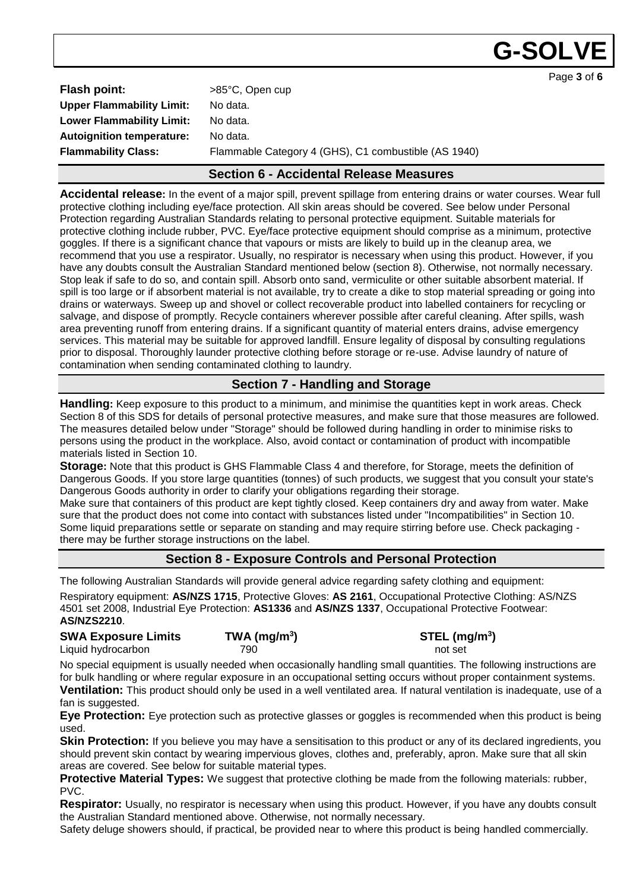G-SOLN

Page **3** of **6**

| <b>Flash point:</b>              | >85°C, Open cup                                      |
|----------------------------------|------------------------------------------------------|
| <b>Upper Flammability Limit:</b> | No data.                                             |
| <b>Lower Flammability Limit:</b> | No data.                                             |
| <b>Autoignition temperature:</b> | No data.                                             |
| <b>Flammability Class:</b>       | Flammable Category 4 (GHS), C1 combustible (AS 1940) |
|                                  |                                                      |

# **Section 6 - Accidental Release Measures**

**Accidental release:** In the event of a major spill, prevent spillage from entering drains or water courses. Wear full protective clothing including eye/face protection. All skin areas should be covered. See below under Personal Protection regarding Australian Standards relating to personal protective equipment. Suitable materials for protective clothing include rubber, PVC. Eye/face protective equipment should comprise as a minimum, protective goggles. If there is a significant chance that vapours or mists are likely to build up in the cleanup area, we recommend that you use a respirator. Usually, no respirator is necessary when using this product. However, if you have any doubts consult the Australian Standard mentioned below (section 8). Otherwise, not normally necessary. Stop leak if safe to do so, and contain spill. Absorb onto sand, vermiculite or other suitable absorbent material. If spill is too large or if absorbent material is not available, try to create a dike to stop material spreading or going into drains or waterways. Sweep up and shovel or collect recoverable product into labelled containers for recycling or salvage, and dispose of promptly. Recycle containers wherever possible after careful cleaning. After spills, wash area preventing runoff from entering drains. If a significant quantity of material enters drains, advise emergency services. This material may be suitable for approved landfill. Ensure legality of disposal by consulting regulations prior to disposal. Thoroughly launder protective clothing before storage or re-use. Advise laundry of nature of contamination when sending contaminated clothing to laundry.

# **Section 7 - Handling and Storage**

**Handling:** Keep exposure to this product to a minimum, and minimise the quantities kept in work areas. Check Section 8 of this SDS for details of personal protective measures, and make sure that those measures are followed. The measures detailed below under "Storage" should be followed during handling in order to minimise risks to persons using the product in the workplace. Also, avoid contact or contamination of product with incompatible materials listed in Section 10.

**Storage:** Note that this product is GHS Flammable Class 4 and therefore, for Storage, meets the definition of Dangerous Goods. If you store large quantities (tonnes) of such products, we suggest that you consult your state's Dangerous Goods authority in order to clarify your obligations regarding their storage.

Make sure that containers of this product are kept tightly closed. Keep containers dry and away from water. Make sure that the product does not come into contact with substances listed under "Incompatibilities" in Section 10. Some liquid preparations settle or separate on standing and may require stirring before use. Check packaging there may be further storage instructions on the label.

# **Section 8 - Exposure Controls and Personal Protection**

The following Australian Standards will provide general advice regarding safety clothing and equipment: Respiratory equipment: **AS/NZS 1715**, Protective Gloves: **AS 2161**, Occupational Protective Clothing: AS/NZS 4501 set 2008, Industrial Eye Protection: **AS1336** and **AS/NZS 1337**, Occupational Protective Footwear: **AS/NZS2210**.

**SWA Exposure Limits TWA (mg/m<sup>3</sup>**

**) STEL (mg/m<sup>3</sup> )** Liquid hydrocarbon and the control of the 790 not set and the control of set and the control of set and the control of set and the control of set and the control of set and the control of the control of the control of the

No special equipment is usually needed when occasionally handling small quantities. The following instructions are for bulk handling or where regular exposure in an occupational setting occurs without proper containment systems. **Ventilation:** This product should only be used in a well ventilated area. If natural ventilation is inadequate, use of a fan is suggested.

**Eye Protection:** Eye protection such as protective glasses or goggles is recommended when this product is being used.

**Skin Protection:** If you believe you may have a sensitisation to this product or any of its declared ingredients, you should prevent skin contact by wearing impervious gloves, clothes and, preferably, apron. Make sure that all skin areas are covered. See below for suitable material types.

**Protective Material Types:** We suggest that protective clothing be made from the following materials: rubber, PVC.

**Respirator:** Usually, no respirator is necessary when using this product. However, if you have any doubts consult the Australian Standard mentioned above. Otherwise, not normally necessary.

Safety deluge showers should, if practical, be provided near to where this product is being handled commercially.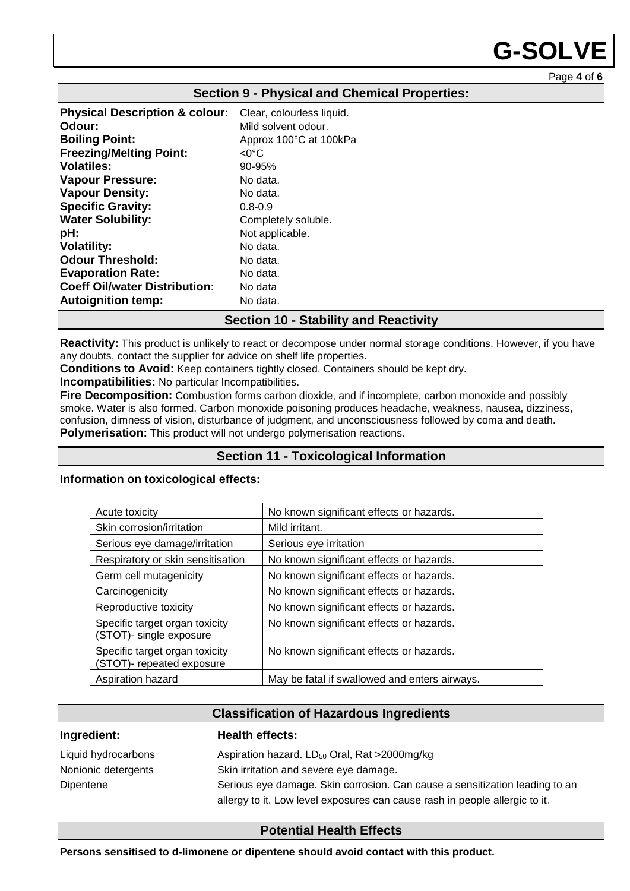# **G-SOLVE**

Page **4** of **6**

| <b>Physical Description &amp; colour:</b> | Clear, colourless liquid. |
|-------------------------------------------|---------------------------|
| Odour:                                    | Mild solvent odour.       |
| <b>Boiling Point:</b>                     | Approx 100°C at 100kPa    |
| <b>Freezing/Melting Point:</b>            | <0°C                      |
| <b>Volatiles:</b>                         | $90 - 95%$                |
| <b>Vapour Pressure:</b>                   | No data.                  |
| <b>Vapour Density:</b>                    | No data.                  |
| <b>Specific Gravity:</b>                  | $0.8 - 0.9$               |
| <b>Water Solubility:</b>                  | Completely soluble.       |
| pH:                                       | Not applicable.           |
| <b>Volatility:</b>                        | No data.                  |
| <b>Odour Threshold:</b>                   | No data.                  |
| <b>Evaporation Rate:</b>                  | No data.                  |
| <b>Coeff Oil/water Distribution:</b>      | No data                   |
| <b>Autoignition temp:</b>                 | No data.                  |

#### **Section 9 - Physical and Chemical Properties:**

# **Section 10 - Stability and Reactivity**

**Reactivity:** This product is unlikely to react or decompose under normal storage conditions. However, if you have any doubts, contact the supplier for advice on shelf life properties.

**Conditions to Avoid:** Keep containers tightly closed. Containers should be kept dry.

**Incompatibilities:** No particular Incompatibilities.

**Fire Decomposition:** Combustion forms carbon dioxide, and if incomplete, carbon monoxide and possibly smoke. Water is also formed. Carbon monoxide poisoning produces headache, weakness, nausea, dizziness, confusion, dimness of vision, disturbance of judgment, and unconsciousness followed by coma and death. **Polymerisation:** This product will not undergo polymerisation reactions.

# **Section 11 - Toxicological Information**

#### **Information on toxicological effects:**

| Acute toxicity                                              | No known significant effects or hazards.      |
|-------------------------------------------------------------|-----------------------------------------------|
| Skin corrosion/irritation                                   | Mild irritant.                                |
| Serious eye damage/irritation                               | Serious eye irritation                        |
| Respiratory or skin sensitisation                           | No known significant effects or hazards.      |
| Germ cell mutagenicity                                      | No known significant effects or hazards.      |
| Carcinogenicity                                             | No known significant effects or hazards.      |
| Reproductive toxicity                                       | No known significant effects or hazards.      |
| Specific target organ toxicity<br>(STOT)- single exposure   | No known significant effects or hazards.      |
| Specific target organ toxicity<br>(STOT)- repeated exposure | No known significant effects or hazards.      |
| Aspiration hazard                                           | May be fatal if swallowed and enters airways. |

# **Classification of Hazardous Ingredients**

#### **Ingredient: Health effects:**

| Liquid hydrocarbons | Aspiration hazard. LD <sub>50</sub> Oral, Rat >2000mg/kg                    |
|---------------------|-----------------------------------------------------------------------------|
| Nonionic detergents | Skin irritation and severe eye damage.                                      |
| Dipentene           | Serious eye damage. Skin corrosion. Can cause a sensitization leading to an |
|                     | allergy to it. Low level exposures can cause rash in people allergic to it. |

# **Potential Health Effects**

**Persons sensitised to d-limonene or dipentene should avoid contact with this product.**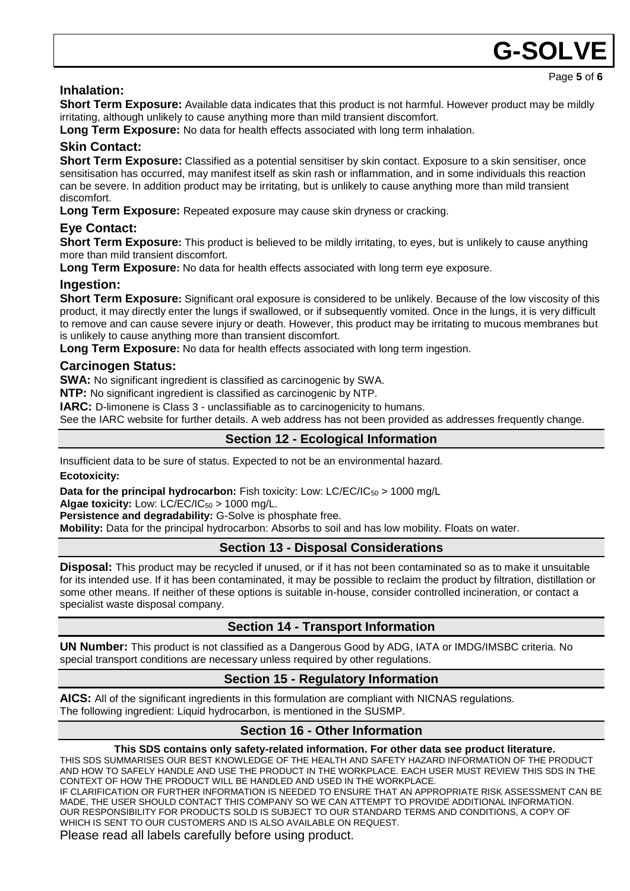# **Inhalation:**

**Short Term Exposure:** Available data indicates that this product is not harmful. However product may be mildly irritating, although unlikely to cause anything more than mild transient discomfort.

G-SOLN

Page **5** of **6**

**Long Term Exposure:** No data for health effects associated with long term inhalation.

# **Skin Contact:**

**Short Term Exposure:** Classified as a potential sensitiser by skin contact. Exposure to a skin sensitiser, once sensitisation has occurred, may manifest itself as skin rash or inflammation, and in some individuals this reaction can be severe. In addition product may be irritating, but is unlikely to cause anything more than mild transient discomfort.

**Long Term Exposure:** Repeated exposure may cause skin dryness or cracking.

# **Eye Contact:**

**Short Term Exposure:** This product is believed to be mildly irritating, to eyes, but is unlikely to cause anything more than mild transient discomfort.

**Long Term Exposure:** No data for health effects associated with long term eye exposure.

### **Ingestion:**

**Short Term Exposure:** Significant oral exposure is considered to be unlikely. Because of the low viscosity of this product, it may directly enter the lungs if swallowed, or if subsequently vomited. Once in the lungs, it is very difficult to remove and can cause severe injury or death. However, this product may be irritating to mucous membranes but is unlikely to cause anything more than transient discomfort.

**Long Term Exposure:** No data for health effects associated with long term ingestion.

### **Carcinogen Status:**

**SWA:** No significant ingredient is classified as carcinogenic by SWA.

**NTP:** No significant ingredient is classified as carcinogenic by NTP.

**IARC:** D-limonene is Class 3 - unclassifiable as to carcinogenicity to humans.

See the IARC website for further details. A web address has not been provided as addresses frequently change.

# **Section 12 - Ecological Information**

Insufficient data to be sure of status. Expected to not be an environmental hazard.

#### **Ecotoxicity:**

**Data for the principal hydrocarbon:** Fish toxicity: Low: LC/EC/IC<sub>50</sub> > 1000 mg/L

Algae toxicity: Low: LC/EC/IC<sub>50</sub> > 1000 mg/L.

**Persistence and degradability:** G-Solve is phosphate free.

**Mobility:** Data for the principal hydrocarbon: Absorbs to soil and has low mobility. Floats on water.

# **Section 13 - Disposal Considerations**

**Disposal:** This product may be recycled if unused, or if it has not been contaminated so as to make it unsuitable for its intended use. If it has been contaminated, it may be possible to reclaim the product by filtration, distillation or some other means. If neither of these options is suitable in-house, consider controlled incineration, or contact a specialist waste disposal company.

# **Section 14 - Transport Information**

**UN Number:** This product is not classified as a Dangerous Good by ADG, IATA or IMDG/IMSBC criteria. No special transport conditions are necessary unless required by other regulations.

# **Section 15 - Regulatory Information**

**AICS:** All of the significant ingredients in this formulation are compliant with NICNAS regulations. The following ingredient: Liquid hydrocarbon, is mentioned in the SUSMP.

#### **Section 16 - Other Information**

#### **This SDS contains only safety-related information. For other data see product literature.**

THIS SDS SUMMARISES OUR BEST KNOWLEDGE OF THE HEALTH AND SAFETY HAZARD INFORMATION OF THE PRODUCT AND HOW TO SAFELY HANDLE AND USE THE PRODUCT IN THE WORKPLACE. EACH USER MUST REVIEW THIS SDS IN THE CONTEXT OF HOW THE PRODUCT WILL BE HANDLED AND USED IN THE WORKPLACE.

IF CLARIFICATION OR FURTHER INFORMATION IS NEEDED TO ENSURE THAT AN APPROPRIATE RISK ASSESSMENT CAN BE MADE, THE USER SHOULD CONTACT THIS COMPANY SO WE CAN ATTEMPT TO PROVIDE ADDITIONAL INFORMATION. OUR RESPONSIBILITY FOR PRODUCTS SOLD IS SUBJECT TO OUR STANDARD TERMS AND CONDITIONS, A COPY OF WHICH IS SENT TO OUR CUSTOMERS AND IS ALSO AVAILABLE ON REQUEST.

Please read all labels carefully before using product.